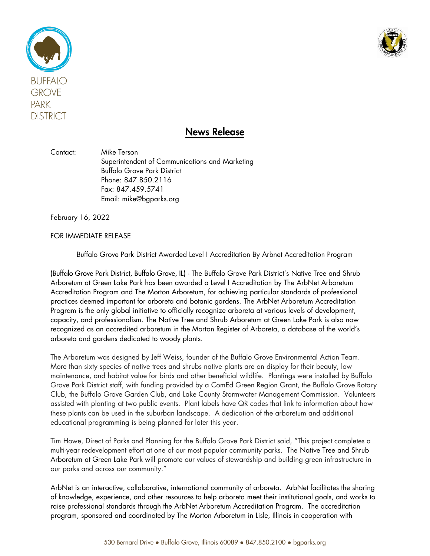



## News Release

Contact: Mike Terson Superintendent of Communications and Marketing Buffalo Grove Park District Phone: 847.850.2116 Fax: 847.459.5741 Email: mike@bgparks.org

February 16, 2022

FOR IMMEDIATE RELEASE

Buffalo Grove Park District Awarded Level I Accreditation By Arbnet Accreditation Program

(Buffalo Grove Park District, Buffalo Grove, IL) - The Buffalo Grove Park District's Native Tree and Shrub Arboretum at Green Lake Park has been awarded a Level I Accreditation by The ArbNet Arboretum Accreditation Program and The Morton Arboretum, for achieving particular standards of professional practices deemed important for arboreta and botanic gardens. The ArbNet Arboretum Accreditation Program is the only global initiative to officially recognize arboreta at various levels of development, capacity, and professionalism. The Native Tree and Shrub Arboretum at Green Lake Park is also now recognized as an accredited arboretum in the Morton Register of Arboreta, a database of the world's arboreta and gardens dedicated to woody plants.

The Arboretum was designed by Jeff Weiss, founder of the Buffalo Grove Environmental Action Team. More than sixty species of native trees and shrubs native plants are on display for their beauty, low maintenance, and habitat value for birds and other beneficial wildlife. Plantings were installed by Buffalo Grove Park District staff, with funding provided by a ComEd Green Region Grant, the Buffalo Grove Rotary Club, the Buffalo Grove Garden Club, and Lake County Stormwater Management Commission. Volunteers assisted with planting at two public events. Plant labels have QR codes that link to information about how these plants can be used in the suburban landscape. A dedication of the arboretum and additional educational programming is being planned for later this year.

Tim Howe, Direct of Parks and Planning for the Buffalo Grove Park District said, "This project completes a multi-year redevelopment effort at one of our most popular community parks. The Native Tree and Shrub Arboretum at Green Lake Park will promote our values of stewardship and building green infrastructure in our parks and across our community."

ArbNet is an interactive, collaborative, international community of arboreta. ArbNet facilitates the sharing of knowledge, experience, and other resources to help arboreta meet their institutional goals, and works to raise professional standards through the ArbNet Arboretum Accreditation Program. The accreditation program, sponsored and coordinated by The Morton Arboretum in Lisle, Illinois in cooperation with